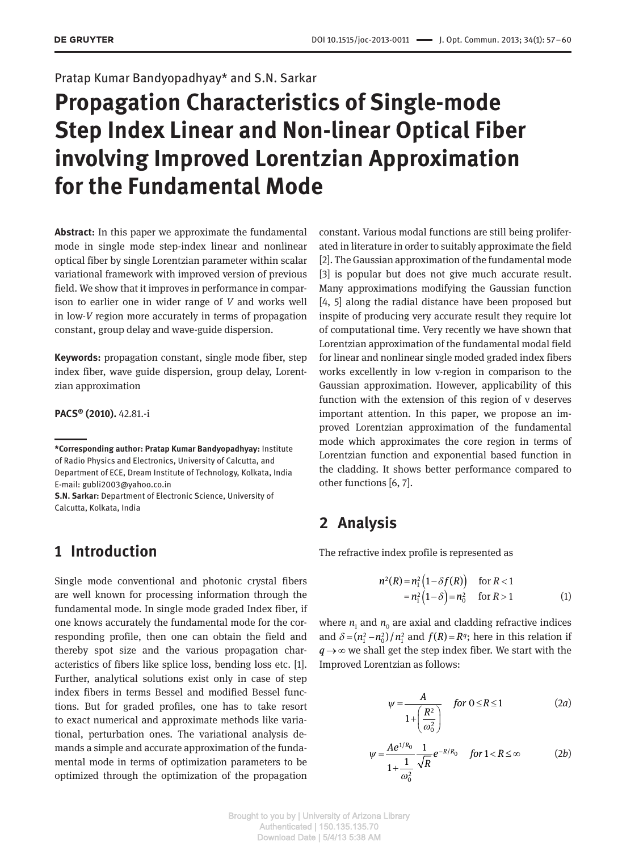Pratap Kumar Bandyopadhyay\* and S.N. Sarkar

# **Propagation Characteristics of Single-mode Step Index Linear and Non-linear Optical Fiber involving Improved Lorentzian Approximation for the Fundamental Mode**

**Abstract:** In this paper we approximate the fundamental mode in single mode step-index linear and nonlinear optical fiber by single Lorentzian parameter within scalar variational framework with improved version of previous field. We show that it improves in performance in comparison to earlier one in wider range of *V* and works well in low-*V* region more accurately in terms of propagation constant, group delay and wave-guide dispersion.

**Keywords:** propagation constant, single mode fiber, step index fiber, wave guide dispersion, group delay, Lorentzian approximation

**PACS® (2010).** 42.81.-i

**S.N. Sarkar:** Department of Electronic Science, University of Calcutta, Kolkata, India

# **1 Introduction**

Single mode conventional and photonic crystal fibers are well known for processing information through the fundamental mode. In single mode graded Index fiber, if one knows accurately the fundamental mode for the corresponding profile, then one can obtain the field and thereby spot size and the various propagation characteristics of fibers like splice loss, bending loss etc. [1]. Further, analytical solutions exist only in case of step index fibers in terms Bessel and modified Bessel functions. But for graded profiles, one has to take resort to exact numerical and approximate methods like variational, perturbation ones. The variational analysis demands a simple and accurate approximation of the fundamental mode in terms of optimization parameters to be optimized through the optimization of the propagation

constant. Various modal functions are still being proliferated in literature in order to suitably approximate the field [2]. The Gaussian approximation of the fundamental mode [3] is popular but does not give much accurate result. Many approximations modifying the Gaussian function [4, 5] along the radial distance have been proposed but inspite of producing very accurate result they require lot of computational time. Very recently we have shown that Lorentzian approximation of the fundamental modal field for linear and nonlinear single moded graded index fibers works excellently in low v-region in comparison to the Gaussian approximation. However, applicability of this function with the extension of this region of v deserves important attention. In this paper, we propose an improved Lorentzian approximation of the fundamental mode which approximates the core region in terms of Lorentzian function and exponential based function in the cladding. It shows better performance compared to other functions [6, 7].

# **2 Analysis**

The refractive index profile is represented as

$$
n^{2}(R) = n_{1}^{2} (1 - \delta f(R)) \quad \text{for } R < 1
$$
  
=  $n_{1}^{2} (1 - \delta) = n_{0}^{2} \quad \text{for } R > 1$  (1)

where  $n_1$  and  $n_0$  are axial and cladding refractive indices and  $\delta = (n_1^2 - n_0^2)/n_1^2$  and  $f(R) = R^q$ ; here in this relation if  $q \rightarrow \infty$  we shall get the step index fiber. We start with the Improved Lorentzian as follows:

$$
\psi = \frac{A}{1 + \left(\frac{R^2}{\omega_0^2}\right)} \quad \text{for } 0 \le R \le 1 \tag{2a}
$$

$$
\psi = \frac{Ae^{1/R_0}}{1 + \frac{1}{\omega_0^2}} \frac{1}{\sqrt{R}} e^{-R/R_0} \quad \text{for } 1 < R \le \infty \tag{2b}
$$

**<sup>\*</sup>Corresponding author: Pratap Kumar Bandyopadhyay:** Institute of Radio Physics and Electronics, University of Calcutta, and Department of ECE, Dream Institute of Technology, Kolkata, India E-mail: gubli2003@yahoo.co.in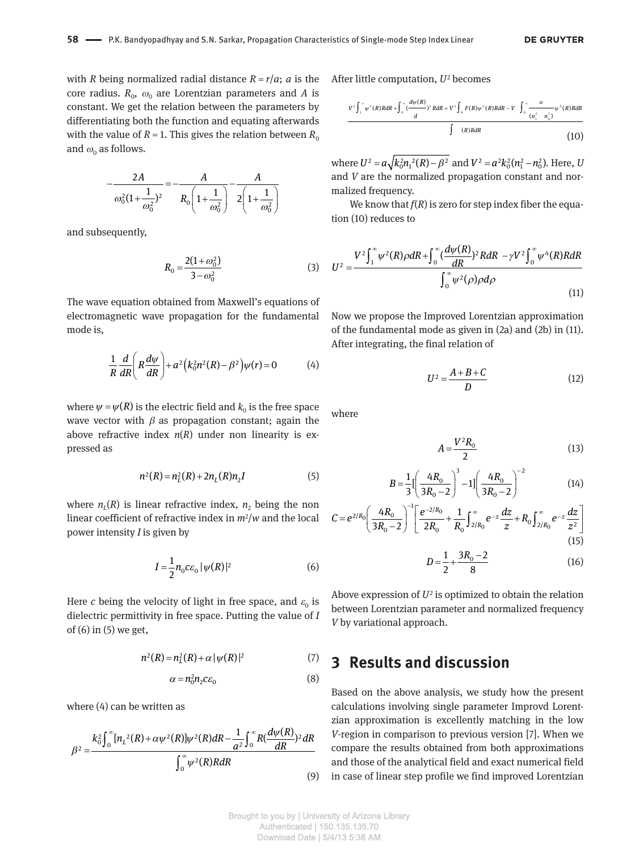with *R* being normalized radial distance  $R = r/a$ ; *a* is the  $\cos$  radius.  $R_{0}$ ,  $\omega_{0}$  are Lorentzian parameters and  $A$  is constant. We get the relation between the parameters by differentiating both the function and equating afterwards with the value of  $R = 1$ . This gives the relation between  $R_0$ and  $\omega_{\text{o}}$  as follows.

$$
-\frac{2A}{\omega_0^2(1+\frac{1}{\omega_0^2})^2} = -\frac{A}{R_0\left(1+\frac{1}{\omega_0^2}\right)} - \frac{A}{2\left(1+\frac{1}{\omega_0^2}\right)}
$$

and subsequently,

$$
R_0 = \frac{2(1 + \omega_0^2)}{3 - \omega_0^2} \tag{3}
$$

The wave equation obtained from Maxwell's equations of electromagnetic wave propagation for the fundamental mode is,

$$
\frac{1}{R}\frac{d}{dR}\left(R\frac{d\psi}{dR}\right)+a^2\left(k_0^2n^2(R)-\beta^2\right)\psi(r)=0\tag{4}
$$

where  $\psi = \psi(R)$  is the electric field and  $k_0$  is the free space wave vector with  $\beta$  as propagation constant; again the above refractive index *n*(*R*) under non linearity is expressed as

$$
n^{2}(R) = n_{L}^{2}(R) + 2n_{L}(R)n_{2}I
$$
 (5)

where  $n_{L}(R)$  is linear refractive index,  $n_{2}$  being the non linear coefficient of refractive index in *m*<sup>2</sup> /*w* and the local power intensity *I* is given by

$$
I = \frac{1}{2} n_0 c \varepsilon_0 \, |\psi(R)|^2 \tag{6}
$$

Here  $c$  being the velocity of light in free space, and  $\varepsilon_0$  is dielectric permittivity in free space. Putting the value of *I* of (6) in (5) we get,

$$
n^{2}(R) = n_{L}^{2}(R) + \alpha |\psi(R)|^{2}
$$
 (7)

$$
\alpha = n_0^2 n_2 c \varepsilon_0 \tag{8}
$$

where (4) can be written as

$$
\beta^{2} = \frac{k_{0}^{2} \int_{0}^{\infty} [n_{L}^{2}(R) + \alpha \psi^{2}(R)] \psi^{2}(R) dR - \frac{1}{a^{2}} \int_{0}^{\infty} R(\frac{d\psi(R)}{dR})^{2} dR}{\int_{0}^{\infty} \psi^{2}(R) R dR}
$$
\n(9)

After little computation, U<sup>2</sup> becomes

$$
\frac{V^2 \int_1^{\infty} \psi^2(R)R dR + \int_0^{\infty} \frac{(d\psi(R))}{d} R dR + V^2 \int_0^{\infty} F(R) \psi^2(R)R dR - V \int_0^{\infty} \frac{\alpha}{(n_1^2 - n_0^2)} \psi^4(R)R dR}{\int (R)R dR}
$$
\n(10)

where  $U^2 = a \sqrt{k_0^2 n_1^2(R)} - \beta^2$  and  $V^2 = a^2 k_0^2 (n_1^2 - n_0^2)$ . Here, *U* and *V* are the normalized propagation constant and normalized frequency.

We know that  $f(R)$  is zero for step index fiber the equation (10) reduces to

$$
U^2 = \frac{V^2 \int_1^\infty \psi^2(R) \rho dR + \int_0^\infty \left(\frac{d\psi(R)}{dR}\right)^2 R dR - \gamma V^2 \int_0^\infty \psi^4(R) R dR}{\int_0^\infty \psi^2(\rho) \rho d\rho}
$$
(11)

Now we propose the Improved Lorentzian approximation of the fundamental mode as given in (2a) and (2b) in (11). After integrating, the final relation of

$$
U^2 = \frac{A+B+C}{D} \tag{12}
$$

where

$$
A = \frac{V^2 R_0}{2} \tag{13}
$$

$$
B = \frac{1}{3} \left[ \left( \frac{4R_0}{3R_0 - 2} \right)^3 - 1 \right] \left( \frac{4R_0}{3R_0 - 2} \right)^{-2}
$$
(14)

$$
C = e^{2/R_0} \left(\frac{4R_0}{3R_0 - 2}\right)^{-1} \left[\frac{e^{-2/R_0}}{2R_0} + \frac{1}{R_0} \int_{2/R_0}^{\infty} e^{-z} \frac{dz}{z} + R_0 \int_{2/R_0}^{\infty} e^{-z} \frac{dz}{z^2}\right]
$$
(15)

$$
D = \frac{1}{2} + \frac{3R_0 - 2}{8} \tag{16}
$$

Above expression of  $U^2$  is optimized to obtain the relation between Lorentzian parameter and normalized frequency *V* by variational approach.

#### **3 Results and discussion**

Based on the above analysis, we study how the present calculations involving single parameter Improvd Lorentzian approximation is excellently matching in the low *V*-region in comparison to previous version [7]. When we compare the results obtained from both approximations and those of the analytical field and exact numerical field in case of linear step profile we find improved Lorentzian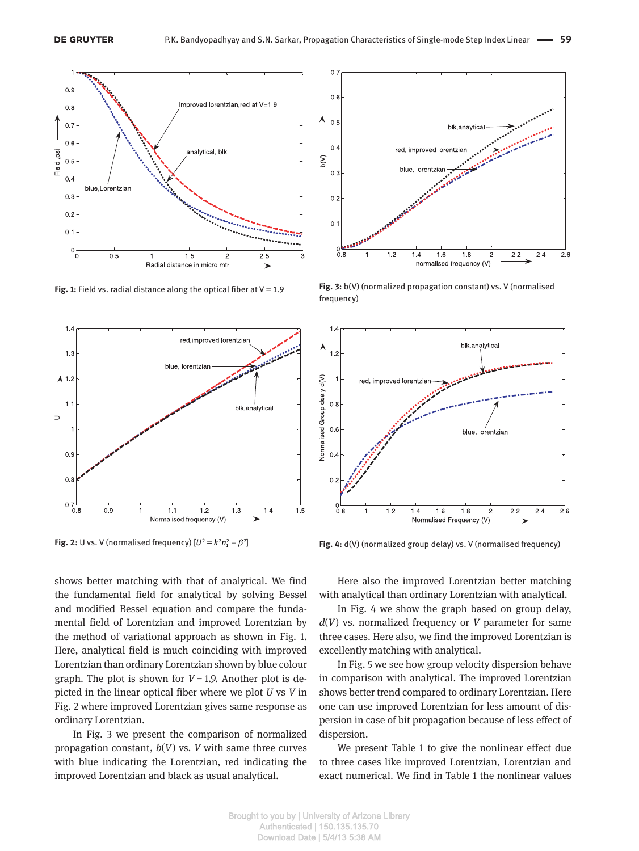

**Fig. 1:** Field vs. radial distance along the optical fiber at V = 1.9



**Fig. 2:** U vs. V (normalised frequency)  $[U^2 = k^2 n_1^2 - \beta^2]$ 

shows better matching with that of analytical. We find the fundamental field for analytical by solving Bessel and modified Bessel equation and compare the fundamental field of Lorentzian and improved Lorentzian by the method of variational approach as shown in Fig. 1. Here, analytical field is much coinciding with improved Lorentzian than ordinary Lorentzian shown by blue colour graph. The plot is shown for  $V = 1.9$ . Another plot is depicted in the linear optical fiber where we plot *U* vs *V* in Fig. 2 where improved Lorentzian gives same response as ordinary Lorentzian.

In Fig. 3 we present the comparison of normalized propagation constant, *b*(*V*) vs. *V* with same three curves with blue indicating the Lorentzian, red indicating the improved Lorentzian and black as usual analytical.



**Fig. 3:** b(V) (normalized propagation constant) vs. V (normalised frequency)



**Fig. 4:** d(V) (normalized group delay) vs. V (normalised frequency)

Here also the improved Lorentzian better matching with analytical than ordinary Lorentzian with analytical.

In Fig. 4 we show the graph based on group delay, *d*(*V*) vs. normalized frequency or *V* parameter for same three cases. Here also, we find the improved Lorentzian is excellently matching with analytical.

In Fig. 5 we see how group velocity dispersion behave in comparison with analytical. The improved Lorentzian shows better trend compared to ordinary Lorentzian. Here one can use improved Lorentzian for less amount of dispersion in case of bit propagation because of less effect of dispersion.

We present Table 1 to give the nonlinear effect due to three cases like improved Lorentzian, Lorentzian and exact numerical. We find in Table 1 the nonlinear values